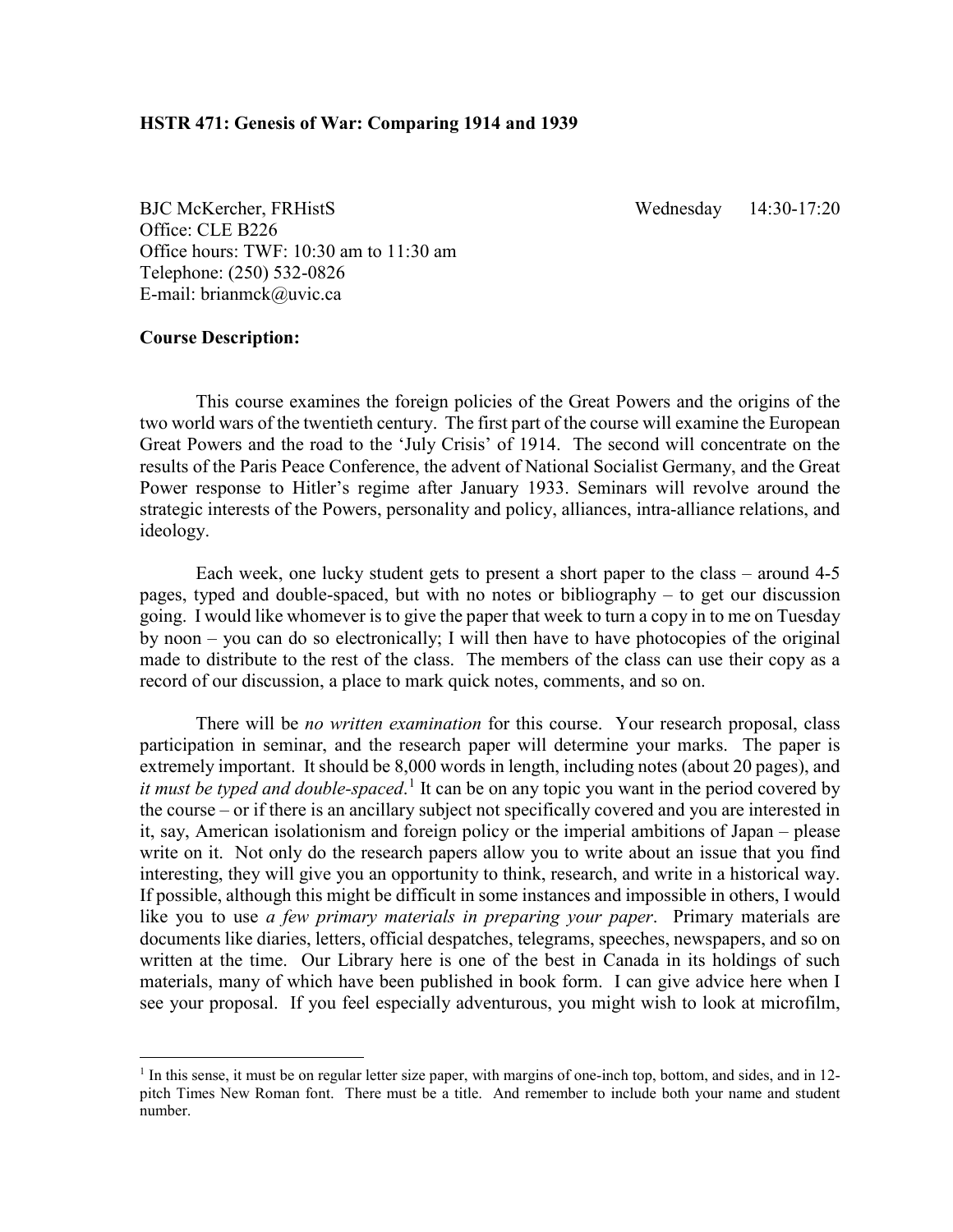BJC McKercher, FRHistS Wednesday 14:30-17:20 Office: CLE B226 Office hours: TWF: 10:30 am to 11:30 am Telephone: (250) 532-0826 E-mail: brianmck@uvic.ca

# **Course Description:**

This course examines the foreign policies of the Great Powers and the origins of the two world wars of the twentieth century. The first part of the course will examine the European Great Powers and the road to the 'July Crisis' of 1914. The second will concentrate on the results of the Paris Peace Conference, the advent of National Socialist Germany, and the Great Power response to Hitler's regime after January 1933. Seminars will revolve around the strategic interests of the Powers, personality and policy, alliances, intra-alliance relations, and ideology.

Each week, one lucky student gets to present a short paper to the class – around 4-5 pages, typed and double-spaced, but with no notes or bibliography – to get our discussion going. I would like whomever is to give the paper that week to turn a copy in to me on Tuesday by noon – you can do so electronically; I will then have to have photocopies of the original made to distribute to the rest of the class. The members of the class can use their copy as a record of our discussion, a place to mark quick notes, comments, and so on.

There will be *no written examination* for this course. Your research proposal, class participation in seminar, and the research paper will determine your marks. The paper is extremely important. It should be 8,000 words in length, including notes (about 20 pages), and *it must be typed and double-spaced*. [1](#page-0-0) It can be on any topic you want in the period covered by the course – or if there is an ancillary subject not specifically covered and you are interested in it, say, American isolationism and foreign policy or the imperial ambitions of Japan – please write on it. Not only do the research papers allow you to write about an issue that you find interesting, they will give you an opportunity to think, research, and write in a historical way. If possible, although this might be difficult in some instances and impossible in others, I would like you to use *a few primary materials in preparing your paper*. Primary materials are documents like diaries, letters, official despatches, telegrams, speeches, newspapers, and so on written at the time. Our Library here is one of the best in Canada in its holdings of such materials, many of which have been published in book form. I can give advice here when I see your proposal. If you feel especially adventurous, you might wish to look at microfilm,

<span id="page-0-0"></span><sup>&</sup>lt;sup>1</sup> In this sense, it must be on regular letter size paper, with margins of one-inch top, bottom, and sides, and in 12pitch Times New Roman font. There must be a title. And remember to include both your name and student number.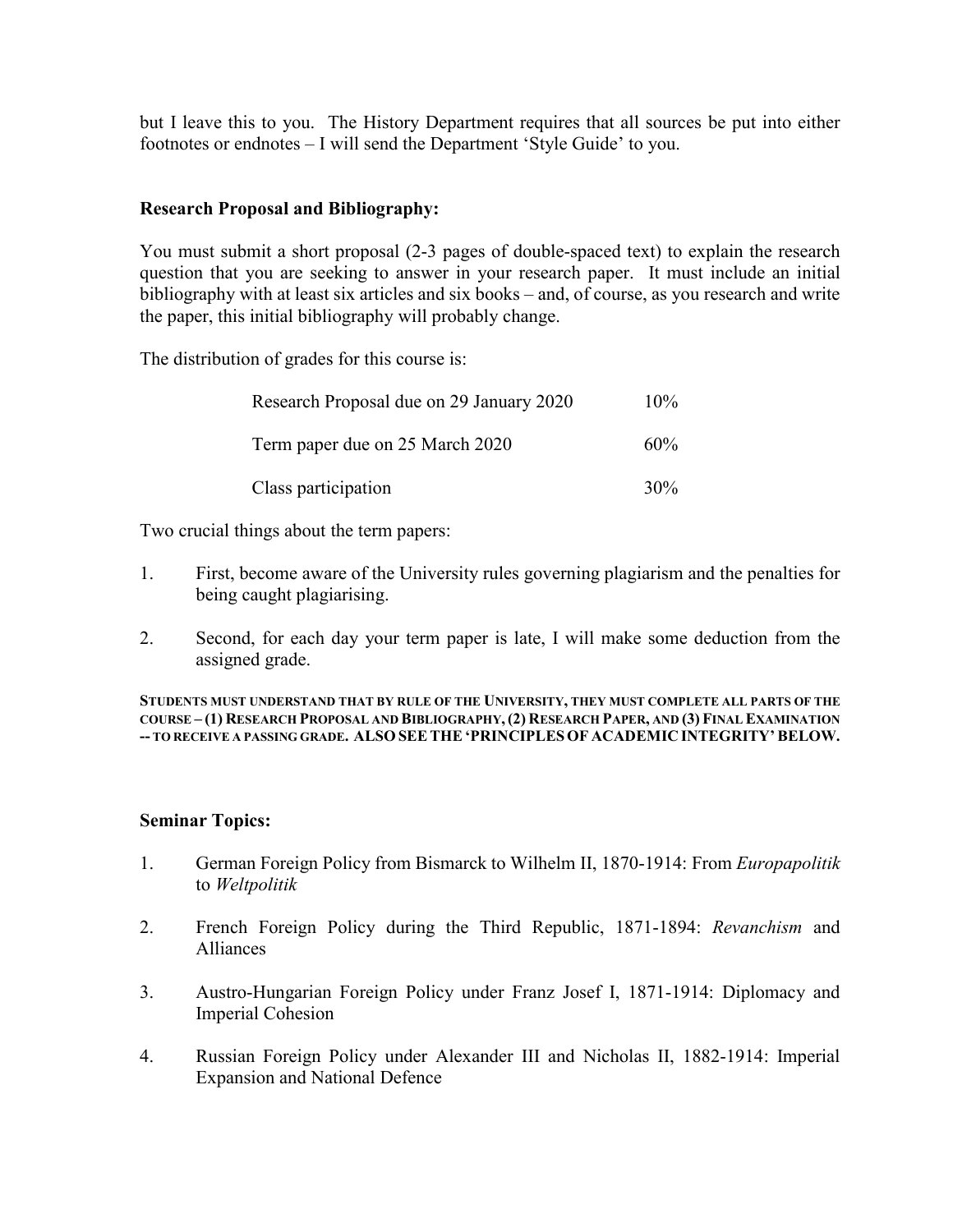but I leave this to you. The History Department requires that all sources be put into either footnotes or endnotes – I will send the Department 'Style Guide' to you.

# **Research Proposal and Bibliography:**

You must submit a short proposal (2-3 pages of double-spaced text) to explain the research question that you are seeking to answer in your research paper. It must include an initial bibliography with at least six articles and six books – and, of course, as you research and write the paper, this initial bibliography will probably change.

The distribution of grades for this course is:

| Research Proposal due on 29 January 2020 | $10\%$ |
|------------------------------------------|--------|
| Term paper due on 25 March 2020          | $60\%$ |
| Class participation                      | $30\%$ |

Two crucial things about the term papers:

- 1. First, become aware of the University rules governing plagiarism and the penalties for being caught plagiarising.
- 2. Second, for each day your term paper is late, I will make some deduction from the assigned grade.

**STUDENTS MUST UNDERSTAND THAT BY RULE OF THE UNIVERSITY, THEY MUST COMPLETE ALL PARTS OF THE COURSE – (1) RESEARCH PROPOSAL AND BIBLIOGRAPHY,(2) RESEARCH PAPER, AND (3) FINAL EXAMINATION -- TO RECEIVE A PASSING GRADE. ALSO SEETHE'PRINCIPLESOF ACADEMIC INTEGRITY'BELOW.**

# **Seminar Topics:**

- 1. German Foreign Policy from Bismarck to Wilhelm II, 1870-1914: From *Europapolitik* to *Weltpolitik*
- 2. French Foreign Policy during the Third Republic, 1871-1894: *Revanchism* and Alliances
- 3. Austro-Hungarian Foreign Policy under Franz Josef I, 1871-1914: Diplomacy and Imperial Cohesion
- 4. Russian Foreign Policy under Alexander III and Nicholas II, 1882-1914: Imperial Expansion and National Defence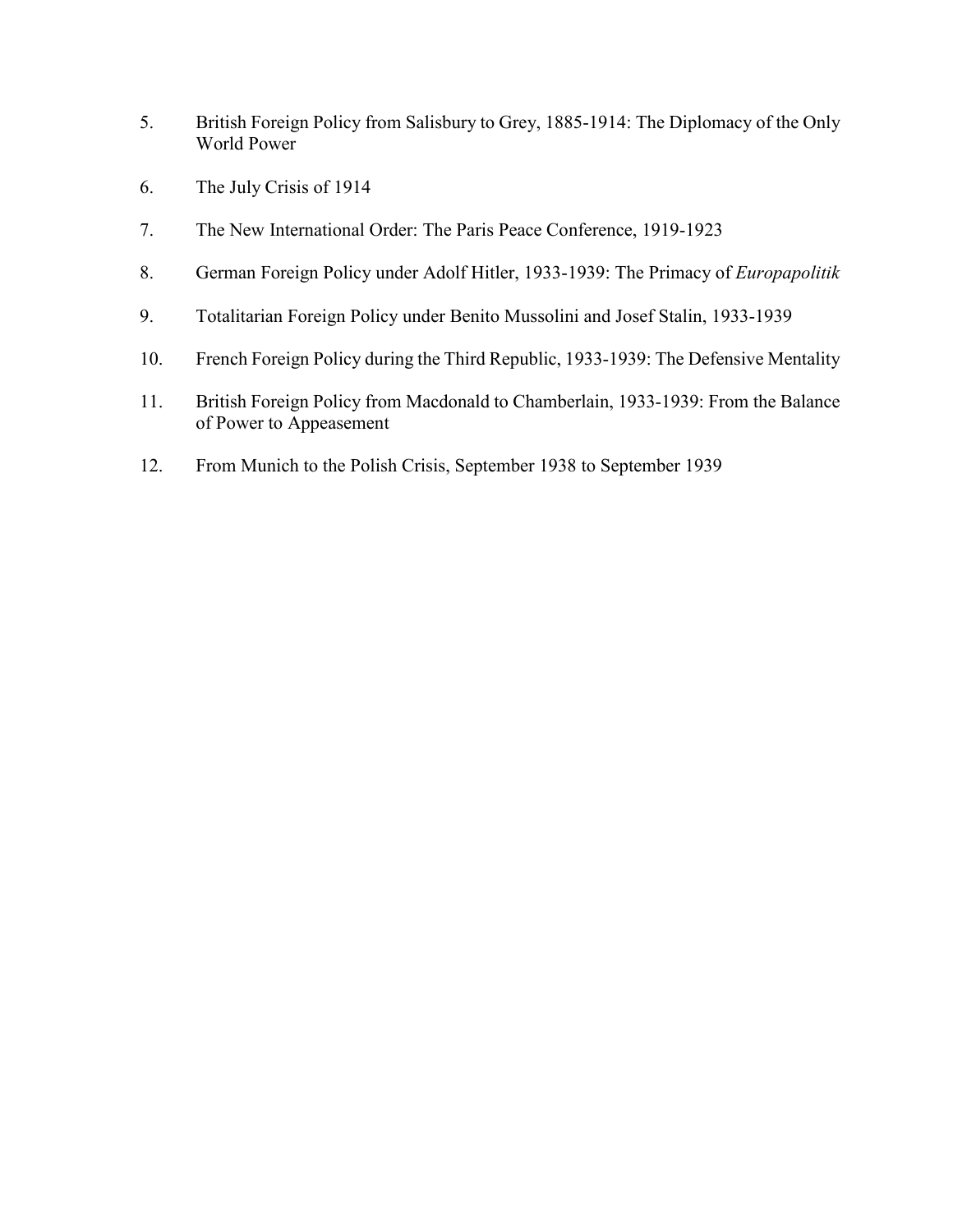- 5. British Foreign Policy from Salisbury to Grey, 1885-1914: The Diplomacy of the Only World Power
- 6. The July Crisis of 1914
- 7. The New International Order: The Paris Peace Conference, 1919-1923
- 8. German Foreign Policy under Adolf Hitler, 1933-1939: The Primacy of *Europapolitik*
- 9. Totalitarian Foreign Policy under Benito Mussolini and Josef Stalin, 1933-1939
- 10. French Foreign Policy during the Third Republic, 1933-1939: The Defensive Mentality
- 11. British Foreign Policy from Macdonald to Chamberlain, 1933-1939: From the Balance of Power to Appeasement
- 12. From Munich to the Polish Crisis, September 1938 to September 1939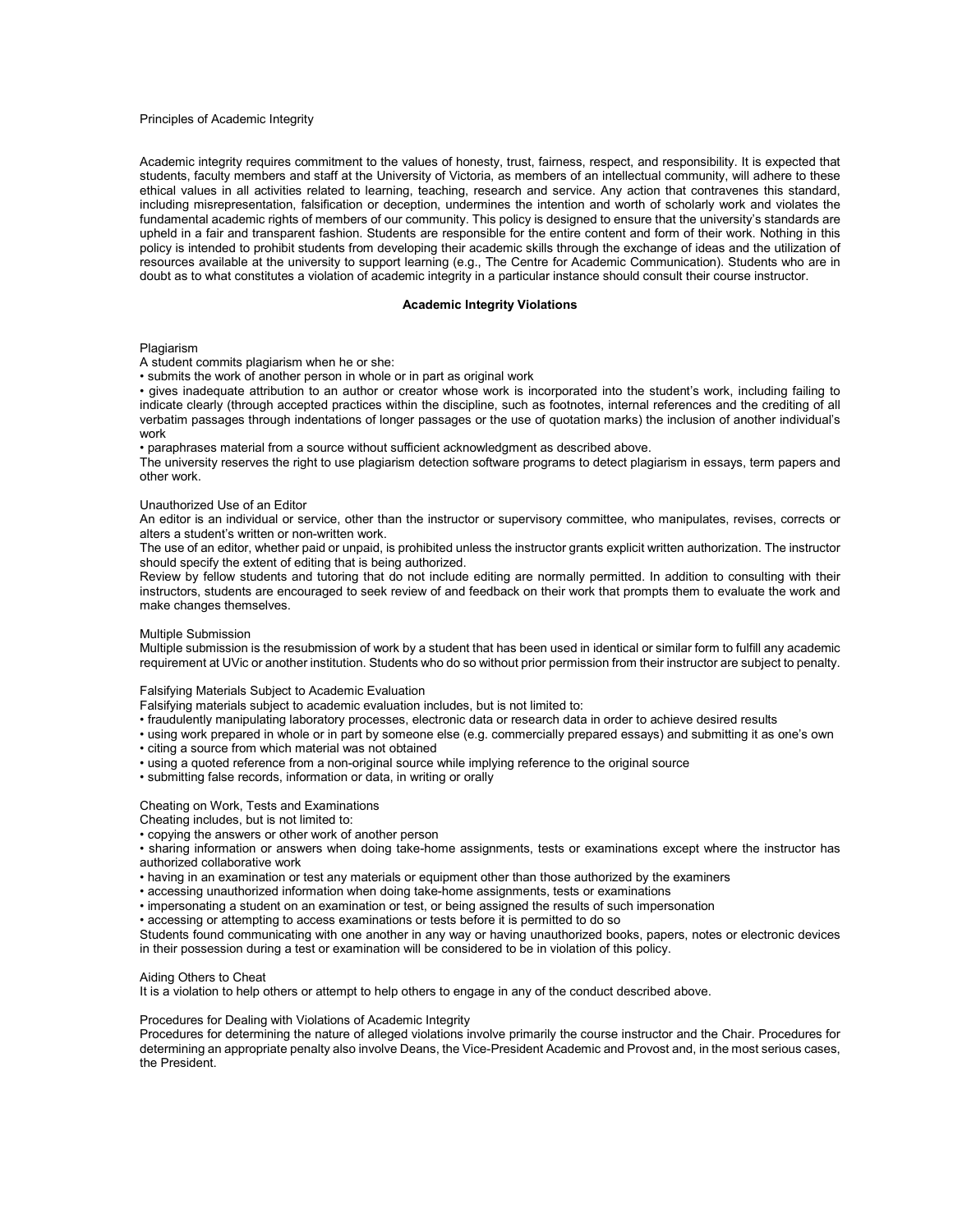#### Principles of Academic Integrity

Academic integrity requires commitment to the values of honesty, trust, fairness, respect, and responsibility. It is expected that students, faculty members and staff at the University of Victoria, as members of an intellectual community, will adhere to these ethical values in all activities related to learning, teaching, research and service. Any action that contravenes this standard, including misrepresentation, falsification or deception, undermines the intention and worth of scholarly work and violates the fundamental academic rights of members of our community. This policy is designed to ensure that the university's standards are upheld in a fair and transparent fashion. Students are responsible for the entire content and form of their work. Nothing in this policy is intended to prohibit students from developing their academic skills through the exchange of ideas and the utilization of resources available at the university to support learning (e.g., The Centre for Academic Communication). Students who are in doubt as to what constitutes a violation of academic integrity in a particular instance should consult their course instructor.

## **Academic Integrity Violations**

### Plagiarism

A student commits plagiarism when he or she:

• submits the work of another person in whole or in part as original work

• gives inadequate attribution to an author or creator whose work is incorporated into the student's work, including failing to indicate clearly (through accepted practices within the discipline, such as footnotes, internal references and the crediting of all verbatim passages through indentations of longer passages or the use of quotation marks) the inclusion of another individual's work

• paraphrases material from a source without sufficient acknowledgment as described above.

The university reserves the right to use plagiarism detection software programs to detect plagiarism in essays, term papers and other work.

# Unauthorized Use of an Editor

An editor is an individual or service, other than the instructor or supervisory committee, who manipulates, revises, corrects or alters a student's written or non-written work.

The use of an editor, whether paid or unpaid, is prohibited unless the instructor grants explicit written authorization. The instructor should specify the extent of editing that is being authorized.

Review by fellow students and tutoring that do not include editing are normally permitted. In addition to consulting with their instructors, students are encouraged to seek review of and feedback on their work that prompts them to evaluate the work and make changes themselves.

### Multiple Submission

Multiple submission is the resubmission of work by a student that has been used in identical or similar form to fulfill any academic requirement at UVic or another institution. Students who do so without prior permission from their instructor are subject to penalty.

Falsifying Materials Subject to Academic Evaluation

Falsifying materials subject to academic evaluation includes, but is not limited to:

• fraudulently manipulating laboratory processes, electronic data or research data in order to achieve desired results

• using work prepared in whole or in part by someone else (e.g. commercially prepared essays) and submitting it as one's own • citing a source from which material was not obtained

- using a quoted reference from a non-original source while implying reference to the original source
- submitting false records, information or data, in writing or orally

## Cheating on Work, Tests and Examinations

Cheating includes, but is not limited to:

• copying the answers or other work of another person

• sharing information or answers when doing take-home assignments, tests or examinations except where the instructor has authorized collaborative work

• having in an examination or test any materials or equipment other than those authorized by the examiners

• accessing unauthorized information when doing take-home assignments, tests or examinations

• impersonating a student on an examination or test, or being assigned the results of such impersonation

• accessing or attempting to access examinations or tests before it is permitted to do so

Students found communicating with one another in any way or having unauthorized books, papers, notes or electronic devices in their possession during a test or examination will be considered to be in violation of this policy.

## Aiding Others to Cheat

It is a violation to help others or attempt to help others to engage in any of the conduct described above.

### Procedures for Dealing with Violations of Academic Integrity

Procedures for determining the nature of alleged violations involve primarily the course instructor and the Chair. Procedures for determining an appropriate penalty also involve Deans, the Vice-President Academic and Provost and, in the most serious cases, the President.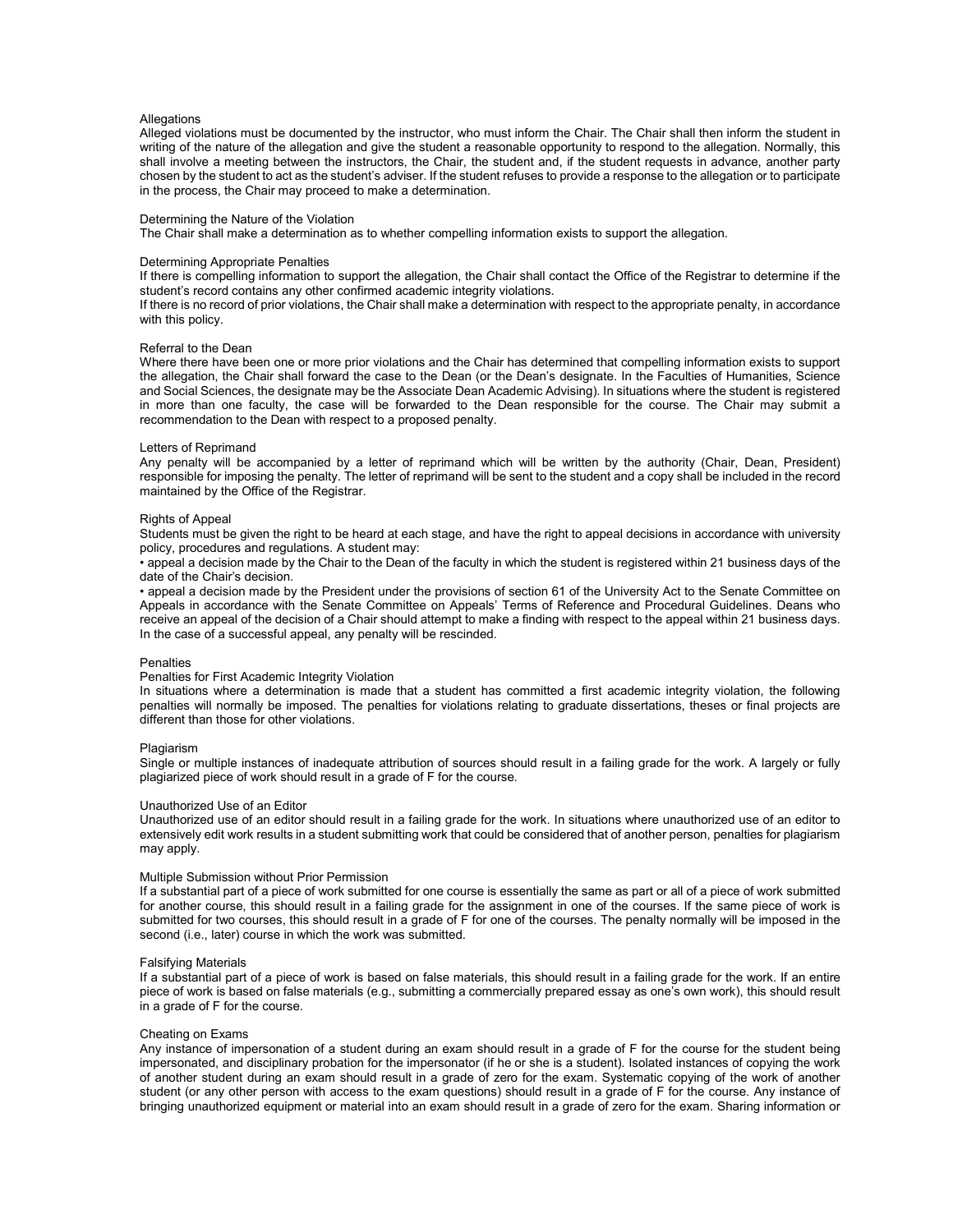## **Allegations**

Alleged violations must be documented by the instructor, who must inform the Chair. The Chair shall then inform the student in writing of the nature of the allegation and give the student a reasonable opportunity to respond to the allegation. Normally, this shall involve a meeting between the instructors, the Chair, the student and, if the student requests in advance, another party chosen by the student to act as the student's adviser. If the student refuses to provide a response to the allegation or to participate in the process, the Chair may proceed to make a determination.

## Determining the Nature of the Violation

The Chair shall make a determination as to whether compelling information exists to support the allegation.

#### Determining Appropriate Penalties

If there is compelling information to support the allegation, the Chair shall contact the Office of the Registrar to determine if the student's record contains any other confirmed academic integrity violations.

If there is no record of prior violations, the Chair shall make a determination with respect to the appropriate penalty, in accordance with this policy.

#### Referral to the Dean

Where there have been one or more prior violations and the Chair has determined that compelling information exists to support the allegation, the Chair shall forward the case to the Dean (or the Dean's designate. In the Faculties of Humanities, Science and Social Sciences, the designate may be the Associate Dean Academic Advising). In situations where the student is registered in more than one faculty, the case will be forwarded to the Dean responsible for the course. The Chair may submit a recommendation to the Dean with respect to a proposed penalty.

#### Letters of Reprimand

Any penalty will be accompanied by a letter of reprimand which will be written by the authority (Chair, Dean, President) responsible for imposing the penalty. The letter of reprimand will be sent to the student and a copy shall be included in the record maintained by the Office of the Registrar.

#### Rights of Appeal

Students must be given the right to be heard at each stage, and have the right to appeal decisions in accordance with university policy, procedures and regulations. A student may:

• appeal a decision made by the Chair to the Dean of the faculty in which the student is registered within 21 business days of the date of the Chair's decision.

• appeal a decision made by the President under the provisions of section 61 of the University Act to the Senate Committee on Appeals in accordance with the Senate Committee on Appeals' Terms of Reference and Procedural Guidelines. Deans who receive an appeal of the decision of a Chair should attempt to make a finding with respect to the appeal within 21 business days. In the case of a successful appeal, any penalty will be rescinded.

#### **Penalties**

## Penalties for First Academic Integrity Violation

In situations where a determination is made that a student has committed a first academic integrity violation, the following penalties will normally be imposed. The penalties for violations relating to graduate dissertations, theses or final projects are different than those for other violations.

#### Plagiarism

Single or multiple instances of inadequate attribution of sources should result in a failing grade for the work. A largely or fully plagiarized piece of work should result in a grade of F for the course.

#### Unauthorized Use of an Editor

Unauthorized use of an editor should result in a failing grade for the work. In situations where unauthorized use of an editor to extensively edit work results in a student submitting work that could be considered that of another person, penalties for plagiarism may apply.

#### Multiple Submission without Prior Permission

If a substantial part of a piece of work submitted for one course is essentially the same as part or all of a piece of work submitted for another course, this should result in a failing grade for the assignment in one of the courses. If the same piece of work is submitted for two courses, this should result in a grade of F for one of the courses. The penalty normally will be imposed in the second (i.e., later) course in which the work was submitted.

#### Falsifying Materials

If a substantial part of a piece of work is based on false materials, this should result in a failing grade for the work. If an entire piece of work is based on false materials (e.g., submitting a commercially prepared essay as one's own work), this should result in a grade of F for the course.

#### Cheating on Exams

Any instance of impersonation of a student during an exam should result in a grade of F for the course for the student being impersonated, and disciplinary probation for the impersonator (if he or she is a student). Isolated instances of copying the work of another student during an exam should result in a grade of zero for the exam. Systematic copying of the work of another student (or any other person with access to the exam questions) should result in a grade of F for the course. Any instance of bringing unauthorized equipment or material into an exam should result in a grade of zero for the exam. Sharing information or